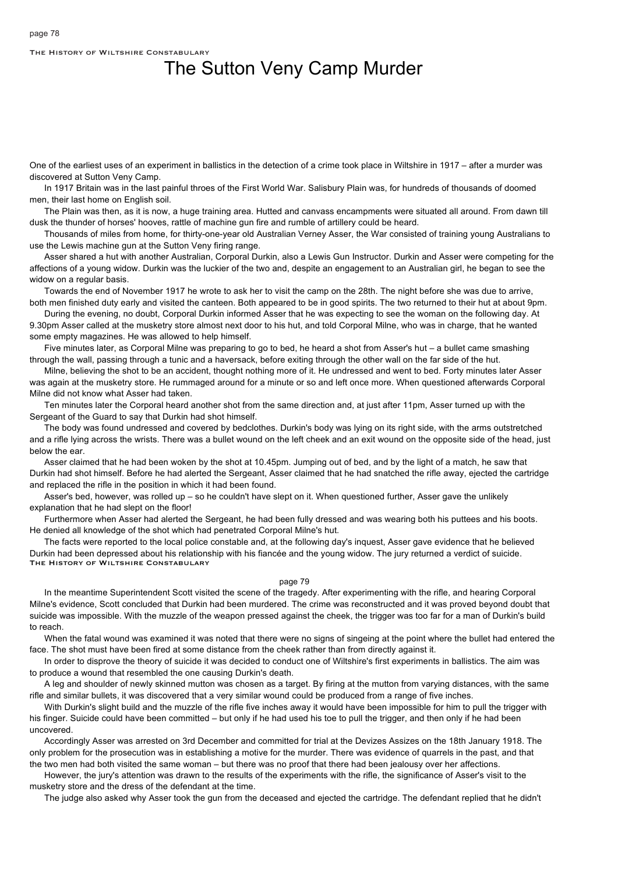The History of Wiltshire Constabulary

## The Sutton Veny Camp Murder

One of the earliest uses of an experiment in ballistics in the detection of a crime took place in Wiltshire in 1917 – after a murder was discovered at Sutton Veny Camp.

In 1917 Britain was in the last painful throes of the First World War. Salisbury Plain was, for hundreds of thousands of doomed men, their last home on English soil.

The Plain was then, as it is now, a huge training area. Hutted and canvass encampments were situated all around. From dawn till dusk the thunder of horses' hooves, rattle of machine gun fire and rumble of artillery could be heard.

Thousands of miles from home, for thirty-one-year old Australian Verney Asser, the War consisted of training young Australians to use the Lewis machine gun at the Sutton Veny firing range.

Asser shared a hut with another Australian, Corporal Durkin, also a Lewis Gun Instructor. Durkin and Asser were competing for the affections of a young widow. Durkin was the luckier of the two and, despite an engagement to an Australian girl, he began to see the widow on a regular basis.

Towards the end of November 1917 he wrote to ask her to visit the camp on the 28th. The night before she was due to arrive, both men finished duty early and visited the canteen. Both appeared to be in good spirits. The two returned to their hut at about 9pm.

During the evening, no doubt, Corporal Durkin informed Asser that he was expecting to see the woman on the following day. At 9.30pm Asser called at the musketry store almost next door to his hut, and told Corporal Milne, who was in charge, that he wanted some empty magazines. He was allowed to help himself.

Five minutes later, as Corporal Milne was preparing to go to bed, he heard a shot from Asser's hut – a bullet came smashing through the wall, passing through a tunic and a haversack, before exiting through the other wall on the far side of the hut.

Milne, believing the shot to be an accident, thought nothing more of it. He undressed and went to bed. Forty minutes later Asser was again at the musketry store. He rummaged around for a minute or so and left once more. When questioned afterwards Corporal Milne did not know what Asser had taken.

Ten minutes later the Corporal heard another shot from the same direction and, at just after 11pm, Asser turned up with the Sergeant of the Guard to say that Durkin had shot himself.

The body was found undressed and covered by bedclothes. Durkin's body was lying on its right side, with the arms outstretched and a rifle lying across the wrists. There was a bullet wound on the left cheek and an exit wound on the opposite side of the head, just below the ear.

Asser claimed that he had been woken by the shot at 10.45pm. Jumping out of bed, and by the light of a match, he saw that Durkin had shot himself. Before he had alerted the Sergeant, Asser claimed that he had snatched the rifle away, ejected the cartridge and replaced the rifle in the position in which it had been found.

Asser's bed, however, was rolled up – so he couldn't have slept on it. When questioned further, Asser gave the unlikely explanation that he had slept on the floor!

Furthermore when Asser had alerted the Sergeant, he had been fully dressed and was wearing both his puttees and his boots. He denied all knowledge of the shot which had penetrated Corporal Milne's hut.

The facts were reported to the local police constable and, at the following day's inquest, Asser gave evidence that he believed Durkin had been depressed about his relationship with his fiancée and the young widow. The jury returned a verdict of suicide. The History of Wiltshire Constabulary

## page 79

In the meantime Superintendent Scott visited the scene of the tragedy. After experimenting with the rifle, and hearing Corporal Milne's evidence, Scott concluded that Durkin had been murdered. The crime was reconstructed and it was proved beyond doubt that suicide was impossible. With the muzzle of the weapon pressed against the cheek, the trigger was too far for a man of Durkin's build to reach.

When the fatal wound was examined it was noted that there were no signs of singeing at the point where the bullet had entered the face. The shot must have been fired at some distance from the cheek rather than from directly against it.

In order to disprove the theory of suicide it was decided to conduct one of Wiltshire's first experiments in ballistics. The aim was to produce a wound that resembled the one causing Durkin's death.

A leg and shoulder of newly skinned mutton was chosen as a target. By firing at the mutton from varying distances, with the same rifle and similar bullets, it was discovered that a very similar wound could be produced from a range of five inches.

With Durkin's slight build and the muzzle of the rifle five inches away it would have been impossible for him to pull the trigger with his finger. Suicide could have been committed – but only if he had used his toe to pull the trigger, and then only if he had been uncovered.

Accordingly Asser was arrested on 3rd December and committed for trial at the Devizes Assizes on the 18th January 1918. The only problem for the prosecution was in establishing a motive for the murder. There was evidence of quarrels in the past, and that the two men had both visited the same woman – but there was no proof that there had been jealousy over her affections.

However, the jury's attention was drawn to the results of the experiments with the rifle, the significance of Asser's visit to the musketry store and the dress of the defendant at the time.

The judge also asked why Asser took the gun from the deceased and ejected the cartridge. The defendant replied that he didn't